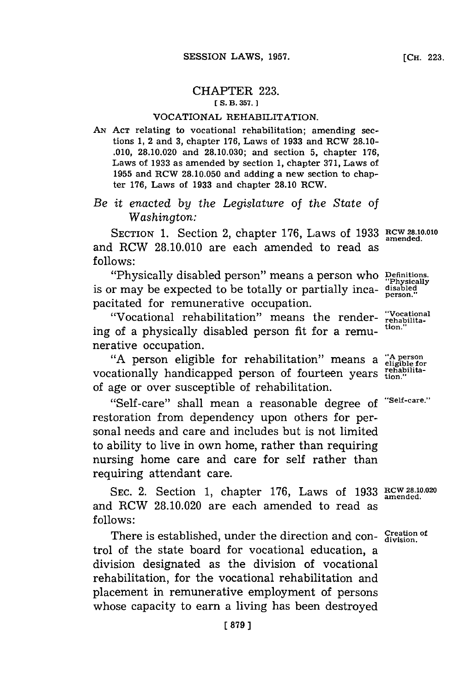## CHAPTER **223.** *ES.* **B3. 357.]1**

## VOCATIONAL REHABILITATION.

**AN ACT** relating to vocational rehabilitation; amending sections **1,** 2 and **3,** chapter **176,** Laws of **1933** and RCW **28.10- .010, 28.10.020** and **28.10.030;** and section **5,** chapter **176,** Laws of **1933** as amended **by** section **1,** chapter **371,** Laws of **1955** and RCW **28.10.050** and adding a new section to chapter **176,** Laws of **1933** and chapter **28.10** RCW.

## *Be it enacted by the Legislature* of *the State of Washington:*

SECTION 1. Section 2, chapter 176, Laws of 1933 RCW 28.10.010 and RCW **28.10.010** are each amended to read as **follows:**

"Physically disabled person" means a person who Definitions is or may be expected to be totally or partially inca- **disabled** pacitated for remunerative occupation.

"Vocational rehabilitation" means the render- "Vocational"<br>of a pharmically disabled names for a name tion." ing of a physically disabled person fit for a remunerative occupation.

**"A** person eligible for rehabilitation" means a **"A person** vocationally handicapped person of fourteen years **tion.**" of age or over susceptible of rehabilitation.

"Self-care" shall mean a reasonable degree of "Self-care." restoration from dependency upon others for personal needs and care and includes but is not limited to ability to live in own home, rather than requiring nursing home care and care for self rather than requiring attendant care.

**SEC.** 2. Section **1,** chapter **176,** Laws of **1933 RCW 28.10.020 amended.** and RCW **28.10.020** are each amended to read as **f ollows:**

There is established, under the direction and con- $\frac{$ Creation of trol of the state board for vocational education, a division designated as the division of vocational rehabilitation, for the vocational rehabilitation and placement in remunerative employment of persons whose capacity to earn a living has been destroyed

**person."**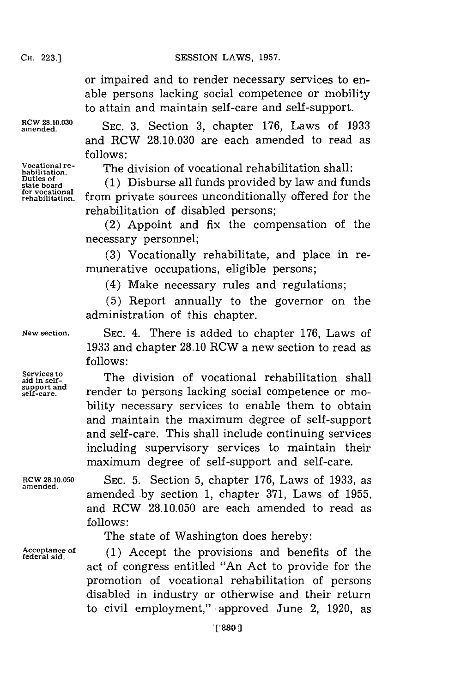or impaired and to render necessary services to enable persons lacking social competence or mobility to attain and maintain self-care and self-support.

**Duties of for vocational**

amended. **SEC. 3.** Section **3,** chapter **176,** Laws of **1933** and RCW **28.10.030** are each amended to read as **follows:**

Vocational re-<br>habilitation **The division of vocational rehabilitation shall:** 

stateboard **(1)** Disburse all funds provided **by** law and funds from private sources unconditionally offered for the rehabilitation of disabled persons;

(2) Appoint and fix the compensation of the necessary personnel;

**(3)** Vocationally rehabilitate, and place in remunerative occupations, eligible persons;

(4) Make necessary rules and regulations;

**(5)** Report annually to the governor on the administration of this chapter.

**1933** and chapter 28.10 RCW a new section to read as

render to persons lacking social competence or mobility necessary services to enable them to obtain and maintain the maximum degree of self-support and self-care. This shall include continuing services including supervisory services to maintain their maximum degree of self-support and self-care.

**New section. SEC.** 4. There is added to chapter **176,** Laws of

Services to **The division of vocational rehabilitation** shall support and<br>self-care.

**f ollows:**

**amended.**

**RCW 28.10.050 SEC. 5.** Section **5,** chapter **176,** Laws of **1933,** as amended **by** section **1,** chapter **371,** Laws of **1955,** and RCW **28.10.050** are each amended to read as **follows:**

The state of Washington does hereby:

Acceptance of (1) Accept the provisions and benefits of the act of congress entitled "An Act to provide for the promotion of vocational rehabilitation of persons disabled in industry or otherwise and their return to civil employment," -approved June 2, **1920,** as